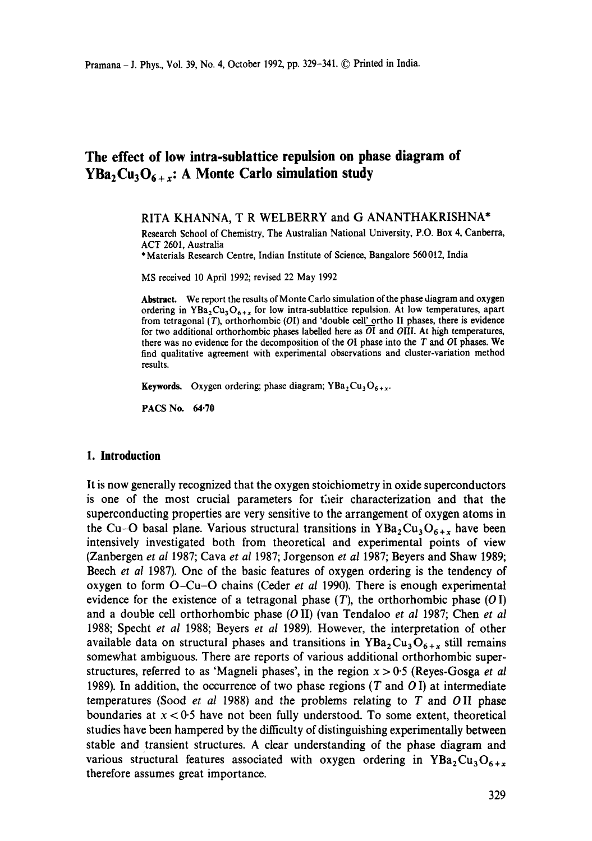# **The effect of low intra-sublattice repulsion on phase diagram of YBa<sub>2</sub>Cu<sub>3</sub>O<sub>6+x</sub>: A Monte Carlo simulation study**

RITA KHANNA, T R WELBERRY and G ANANTHAKRISHNA\*

Research School of Chemistry, The Australian National University, P.O. Box 4, Canberra, ACT 2601, Australia

\* Materials Research Centre, Indian Institute of Science, Bangalore 560 012, India

MS received 10 April 1992; revised 22 May 1992

Abstract. We report the results of Monte Carlo simulation of the phase diagram and oxygen ordering in YBa<sub>2</sub>Cu<sub>3</sub>O<sub>6+x</sub> for low intra-sublattice repulsion. At low temperatures, apart from tetragonal  $(T)$ , orthorhombic  $(OI)$  and 'double cell' ortho II phases, there is evidence for two additional orthorhombic phases labelled here as  $\overline{OI}$  and OIII. At high temperatures, there was no evidence for the decomposition of the  $OI$  phase into the T and  $OI$  phases. We find qualitative agreement with experimental observations and cluster-variation method results.

Keywords. Oxygen ordering; phase diagram;  $YBa<sub>2</sub>Cu<sub>3</sub>O<sub>6+x</sub>$ .

PACS No. 64.70

## **1. Introduction**

It is now generally recognized that the oxygen stoichiometry in oxide superconductors is one of the most crucial parameters for their characterization and that the superconducting properties are very sensitive to the arrangement of oxygen atoms in the Cu-O basal plane. Various structural transitions in  $YBa<sub>2</sub>Cu<sub>3</sub>O<sub>6+x</sub>$  have been intensively investigated both from theoretical and experimental points of view (Zanbergen *et al* 1987; Cava *et al* 1987; Jorgenson *et al* 1987; Beyers and Shaw 1989; Beech *et al* 1987). One of the basic features of oxygen ordering is the tendency of oxygen to form O-Cu-O chains (Ceder *et al* 1990). There is enough experimental evidence for the existence of a tetragonal phase  $(T)$ , the orthorhombic phase  $(O I)$ and a double cell orthorhombic phase (O II) (van Tendaloo *et al* 1987; Chen *et al*  1988; Specht *et al* 1988; Beyers *et al* 1989). However, the interpretation of other available data on structural phases and transitions in  $YBa_2Cu_3O_{6+x}$  still remains somewhat ambiguous. There are reports of various additional orthorhombic superstructures, referred to as 'Magneli phases', in the region  $x > 0.5$  (Reyes-Gosga *et al* 1989). In addition, the occurrence of two phase regions (T and  $O$ I) at intermediate temperatures (Sood *et al* 1988) and the problems relating to T and OII phase boundaries at  $x < 0.5$  have not been fully understood. To some extent, theoretical studies have been hampered by the difficulty of distinguishing experimentally between stable and transient structures. A clear understanding of the phase diagram and various structural features associated with oxygen ordering in  $YBa_2Cu_3O_{6+x}$ therefore assumes great importance.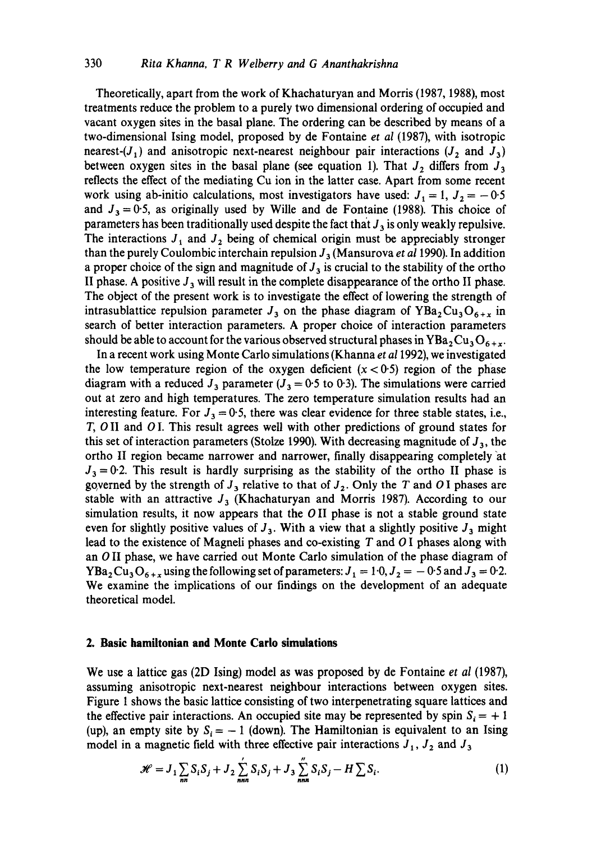# 330 *Rita Khanna, T R Welberry and G Ananthakrishna*

Theoretically, apart from the work of Khachaturyan and Morris (1987, 1988), most treatments reduce the problem to a purely two dimensional ordering of occupied and vacant oxygen sites in the basal plane. The ordering can be described by means of a two-dimensional Ising model, proposed by de Fontaine *et al* (1987), with isotropic nearest- $(J_1)$  and anisotropic next-nearest neighbour pair interactions  $(J_2 \text{ and } J_3)$ between oxygen sites in the basal plane (see equation 1). That  $J_2$  differs from  $J_3$ reflects the effect of the mediating Cu ion in the latter case. Apart from some recent work using ab-initio calculations, most investigators have used:  $J_1 = 1$ ,  $J_2 = -0.5$ and  $J_3 = 0.5$ , as originally used by Wille and de Fontaine (1988). This choice of parameters has been traditionally used despite the fact that  $J_3$  is only weakly repulsive. The interactions  $J_1$  and  $J_2$  being of chemical origin must be appreciably stronger than the purely Coulombic interchain repulsion  $J_3$  (Mansurova *et al* 1990). In addition a proper choice of the sign and magnitude of  $J_3$  is crucial to the stability of the ortho II phase. A positive  $J_3$  will result in the complete disappearance of the ortho II phase. The object of the present work is to investigate the effect of lowering the strength of intrasublattice repulsion parameter  $J_3$  on the phase diagram of YBa<sub>2</sub>Cu<sub>3</sub>O<sub>6+x</sub> in search of better interaction parameters. A proper choice of interaction parameters should be able to account for the various observed structural phases in  $YBa<sub>2</sub>Cu<sub>3</sub>O<sub>6+x</sub>$ .

In a recent work using Monte Carlo simulations (Khanna *et a11992),* we investigated the low temperature region of the oxygen deficient  $(x < 0.5)$  region of the phase diagram with a reduced  $J_3$  parameter ( $J_3 = 0.5$  to 0.3). The simulations were carried out at zero and high temperatures. The zero temperature simulation results had an interesting feature. For  $J_3 = 0.5$ , there was clear evidence for three stable states, i.e., T, O II and O I. This result agrees well with other predictions of ground states for this set of interaction parameters (Stolze 1990). With decreasing magnitude of  $J_3$ , the ortho II region became narrower and narrower, finally disappearing completely at  $J_3 = 0.2$ . This result is hardly surprising as the stability of the ortho II phase is governed by the strength of  $J_3$  relative to that of  $J_2$ . Only the T and O I phases are stable with an attractive  $J_3$  (Khachaturyan and Morris 1987). According to our simulation results, it now appears that the  $OII$  phase is not a stable ground state even for slightly positive values of  $J_3$ . With a view that a slightly positive  $J_3$  might lead to the existence of Magneli phases and co-existing T and 0 1 phases along with an 0 II phase, we have carried out Monte Carlo simulation of the phase diagram of YBa<sub>2</sub> Cu<sub>3</sub>O<sub>6+x</sub> using the following set of parameters:  $J_1 = 1.0$ ,  $J_2 = -0.5$  and  $J_3 = 0.2$ . We examine the implications of our findings on the development of an adequate theoretical model.

## **2. Basic hamiltonian and Monte Carlo simulations**

We use a lattice gas (2D Ising) model as was proposed by de Fontaine *et al* (1987), assuming anisotropic next-nearest neighbour interactions between oxygen sites. Figure 1 shows the basic lattice consisting of two interpenetrating square lattices and the effective pair interactions. An occupied site may be represented by spin  $S_i = +1$ (up), an empty site by  $S_i = -1$  (down). The Hamiltonian is equivalent to an Ising model in a magnetic field with three effective pair interactions  $J_1$ ,  $J_2$  and  $J_3$ 

$$
\mathcal{H} = J_1 \sum_{nn} S_i S_j + J_2 \sum_{nnn}^{'} S_i S_j + J_3 \sum_{nnn}^{''} S_i S_j - H \sum S_i.
$$
 (1)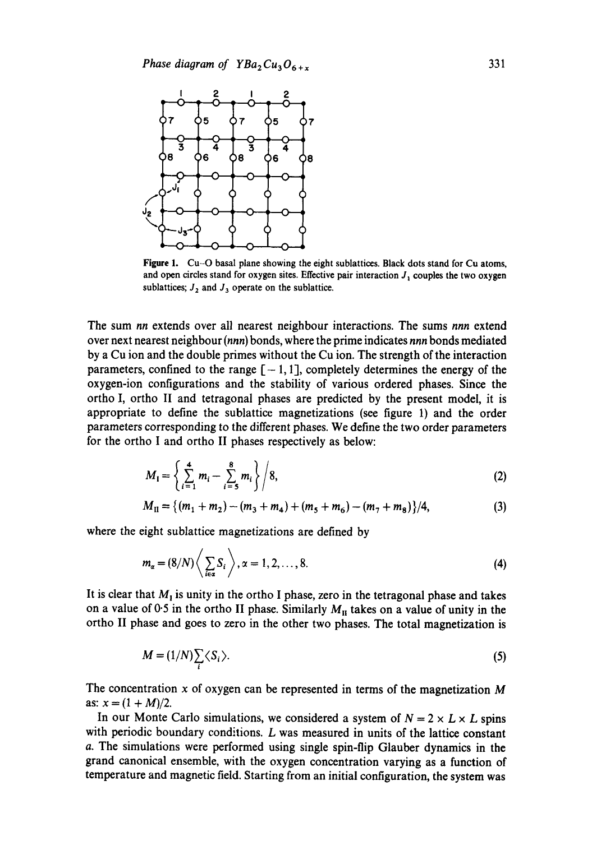

Figure 1. Cu-O basal plane showing the eight sublattices. Black dots stand for Cu atoms, and open circles stand for oxygen sites. Effective pair interaction  $J_1$  couples the two oxygen sublattices;  $J_2$  and  $J_3$  operate on the sublattice.

The sum *nn* extends over all nearest neighbour interactions. The sums *nnn* extend over next nearest neighbour *(nnn)* bonds, where the prime indicates *nnn* bonds mediated by a Cu ion and the double primes without the Cu ion. The strength of the interaction parameters, confined to the range  $[-1, 1]$ , completely determines the energy of the oxygen-ion configurations and the stability of various ordered phases. Since the ortho I, ortho II and tetragonal phases are predicted by the present model, it is appropriate to define the sublattice magnetizations (see figure 1) and the order parameters corresponding to the different phases. We define the two order parameters for the ortho I and ortho II phases respectively as below:

$$
M_{\mathbf{I}} = \left\{ \sum_{i=1}^{4} m_i - \sum_{i=5}^{8} m_i \right\} / 8, \tag{2}
$$

$$
M_{\rm II} = \{(m_1 + m_2) - (m_3 + m_4) + (m_5 + m_6) - (m_7 + m_8)\}/4,\tag{3}
$$

where the eight sublattice magnetizations are defined by

$$
m_{\alpha} = (8/N) \left\langle \sum_{i \in \alpha} S_i \right\rangle, \alpha = 1, 2, \dots, 8.
$$
 (4)

It is clear that  $M_1$  is unity in the ortho I phase, zero in the tetragonal phase and takes on a value of 0.5 in the ortho II phase. Similarly  $M_{II}$  takes on a value of unity in the ortho II phase and goes to zero in the other two phases. The total magnetization is

$$
M = (1/N)\sum_{i} \langle S_{i} \rangle. \tag{5}
$$

The concentration x of oxygen can be represented in terms of the magnetization  $M$ as:  $x = (1 + M)/2$ .

In our Monte Carlo simulations, we considered a system of  $N = 2 \times L \times L$  spins with periodic boundary conditions. L was measured in units of the lattice constant a. The simulations were performed using single spin-flip Glauber dynamics in the grand canonical ensemble, with the oxygen concentration varying as a function of temperature and magnetic field. Starting from an initial configuration, the system was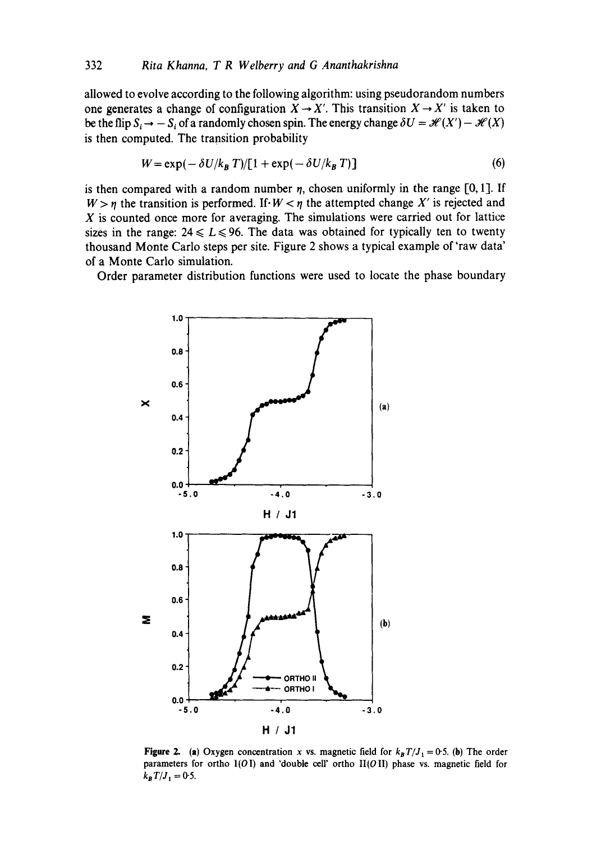allowed to evolve according to the following algorithm: using pseudorandom numbers one generates a change of configuration  $X \rightarrow X'$ . This transition  $X \rightarrow X'$  is taken to be the flip  $S_i \to -S_i$  of a randomly chosen spin. The energy change  $\delta U = \mathcal{H}(X') - \mathcal{H}(X)$ is then computed. The transition probability

$$
W = \exp(-\delta U/k_B T)/[1 + \exp(-\delta U/k_B T)]
$$
 (6)

is then compared with a random number  $\eta$ , chosen uniformly in the range [0, 1]. If  $W > \eta$  the transition is performed. If  $W < \eta$  the attempted change X' is rejected and  $X$  is counted once more for averaging. The simulations were carried out for lattice sizes in the range:  $24 \le L \le 96$ . The data was obtained for typically ten to twenty thousand Monte Carlo steps per site. Figure 2 shows a typical example of'raw data' of a Monte Carlo simulation.

Order parameter distribution functions were used to locate the phase boundary



**Figure 2.** (a) Oxygen concentration x vs. magnetic field for  $k_B T/J_1 = 0.5$ . (b) The order parameters for ortho  $I(OI)$  and 'double cell' ortho  $II(OII)$  phase vs. magnetic field for  $k_B T / J_1 = 0.5$ .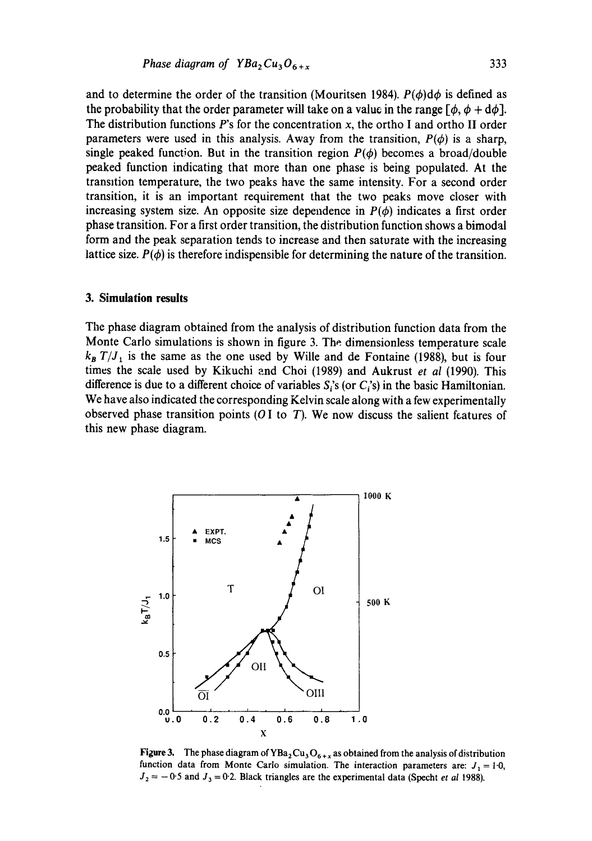and to determine the order of the transition (Mouritsen 1984).  $P(\phi) d\phi$  is defined as the probability that the order parameter will take on a value in the range  $[\phi, \phi + d\phi]$ . The distribution functions  $P$ 's for the concentration x, the ortho I and ortho II order parameters were used in this analysis. Away from the transition,  $P(\phi)$  is a sharp, single peaked function. But in the transition region  $P(\phi)$  becomes a broad/double peaked function indicating that more than one phase is being populated. At the transition temperature, the two peaks have the same intensity. For a second order transition, it is an important requirement that the two peaks move closer with increasing system size. An opposite size dependence in  $P(\phi)$  indicates a first order phase transition. For a first order transition, the distribution function shows a bimodal form and the peak separation tends to increase and then saturate with the increasing lattice size.  $P(\phi)$  is therefore indispensible for determining the nature of the transition.

### **3. Simulation results**

The phase diagram obtained from the analysis of distribution function data from the Monte Carlo simulations is shown in figure 3. The dimensionless temperature scale  $k_B T / J_1$  is the same as the one used by Wille and de Fontaine (1988), but is four times the scale used by Kikuchi and Choi (1989) and Aukrust *et al* (1990). This difference is due to a different choice of variables  $S_i$ 's (or  $C_i$ 's) in the basic Hamiltonian. We have also indicated the corresponding Kelvin scale along with a few experimentally observed phase transition points  $(OI$  to  $T)$ . We now discuss the salient features of this new phase diagram.



**Figure 3.** The phase diagram of  $YBa<sub>2</sub>Cu<sub>3</sub>O<sub>6+x</sub>$  as obtained from the analysis of distribution function data from Monte Carlo simulation. The interaction parameters are:  $J_1 = 1.0$ ,  $J_2 = -0.5$  and  $J_3 = 0.2$ . Black triangles are the experimental data (Specht *et al* 1988).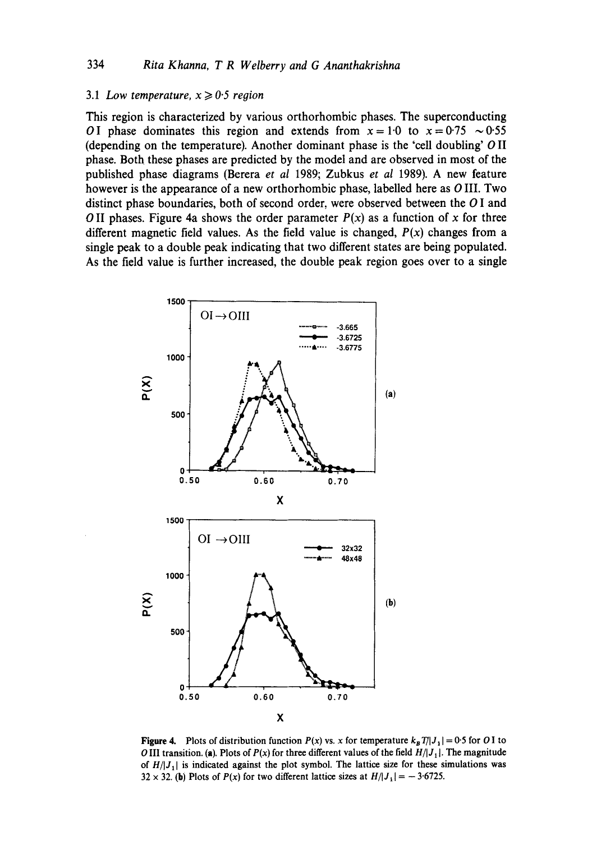# 3.1 *Low temperature,*  $x \ge 0.5$  *region*

This region is characterized by various orthorhombic phases. The superconducting OI phase dominates this region and extends from  $x = 1.0$  to  $x = 0.75 \sim 0.55$ (depending on the temperature). Another dominant phase is the 'cell doubling' O II phase. Both these phases are predicted by the model and are observed in most of the published phase diagrams (Berera *et al* 1989; Zubkus *et al* 1989). A new feature however is the appearance of a new orthorhombic phase, labelled here as O III. Two distinct phase boundaries, both of second order, were observed between the O I and O II phases. Figure 4a shows the order parameter  $P(x)$  as a function of x for three different magnetic field values. As the field value is changed,  $P(x)$  changes from a single peak to a double peak indicating that two different states are being populated. As the field value is further increased, the double peak region goes over to a single



**Figure 4.** Plots of distribution function  $P(x)$  vs. x for temperature  $k_B T/|J_1| = 0.5$  for O I to O III transition. (a). Plots of  $P(x)$  for three different values of the field  $H/J_1$ . The magnitude of  $H/|J_1|$  is indicated against the plot symbol. The lattice size for these simulations was  $32 \times 32$ . (b) Plots of *P(x)* for two different lattice sizes at  $H/|J_1| = -3.6725$ .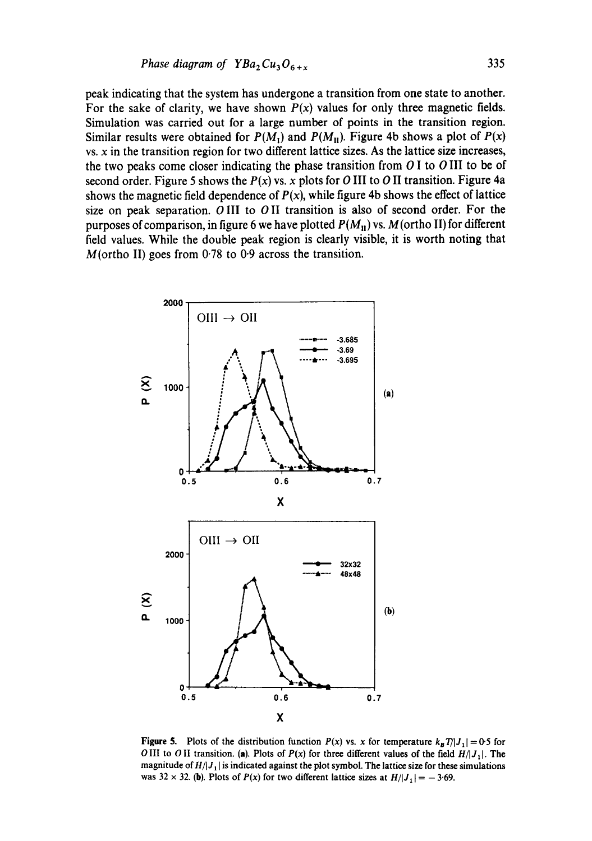$$
Phase diagram of YBa_2Cu_3O_{6+x} \tag{335}
$$

peak indicating that the system has undergone a transition from one state to another. For the sake of clarity, we have shown  $P(x)$  values for only three magnetic fields. Simulation was carried out for a large number of points in the transition region. Similar results were obtained for  $P(M_1)$  and  $P(M_1)$ . Figure 4b shows a plot of  $P(x)$  $vs. x$  in the transition region for two different lattice sizes. As the lattice size increases, the two peaks come closer indicating the phase transition from O I to O III to be of second order. Figure 5 shows the  $P(x)$  vs. x plots for O III to O II transition. Figure 4a shows the magnetic field dependence of  $P(x)$ , while figure 4b shows the effect of lattice size on peak separation. O III to O II transition is also of second order. For the purposes of comparison, in figure 6 we have plotted  $P(M_{\rm H})$  vs. M(ortho II) for different field values. While the double peak region is clearly visible, it is worth noting that  $M(\text{ortho II})$  goes from 0.78 to 0.9 across the transition.



**Figure 5.** Plots of the distribution function  $P(x)$  vs. x for temperature  $k_B T/|J_1| = 0.5$  for O III to O II transition. (a). Plots of  $P(x)$  for three different values of the field  $H/|J_1|$ . The magnitude of  $H/|J_1|$  is indicated against the plot symbol. The lattice size for these simulations was  $32 \times 32$ . (b). Plots of  $P(x)$  for two different lattice sizes at  $H/|J_1| = -3.69$ .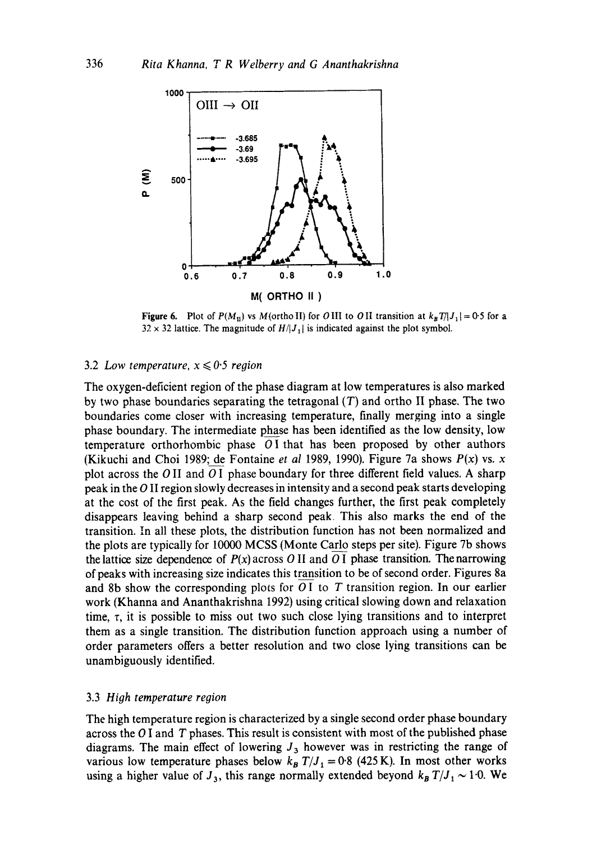

Figure 6. Plot of  $P(M_n)$  vs  $M(\text{ortho II})$  for  $O \text{ III}$  to  $O \text{ II}$  transition at  $k_B T/|J_1|= 0.5$  for a  $32 \times 32$  lattice. The magnitude of  $H/I_1$  is indicated against the plot symbol.

### 3.2 *Low temperature,*  $x \leq 0.5$  *region*

The oxygen-deficient region of the phase diagram at low temperatures is also marked by two phase boundaries separating the tetragonal  $(T)$  and ortho II phase. The two boundaries come closer with increasing temperature, finally merging into a single phase boundary. The intermediate phase has been identified as the low density, low temperature orthorhombic phase  $O<sub>I</sub>$  that has been proposed by other authors (Kikuchi and Choi 1989; de Fontaine *et al* 1989, 1990). Figure 7a shows  $P(x)$  vs. x plot across the  $O$  II and  $O$  I phase boundary for three different field values. A sharp peak in the O II region slowly decreases in intensity and a second peak starts developing at the cost of the first peak. As the field changes further, the first peak completely disappears leaving behind a sharp second peak. This also marks the end of the transition. In all these plots, the distribution function has not been normalized and the plots are typically for 10000 MCSS (Monte Carlo steps per site). Figure 7b shows the lattice size dependence of  $P(x)$  across O II and O I phase transition. The narrowing of peaks with increasing size indicates this transition to be of second order. Figures 8a and 8b show the corresponding plots for  $O<sub>I</sub>$  to T transition region. In our earlier work (Khanna and Ananthakrishna 1992) using critical slowing down and relaxation time,  $\tau$ , it is possible to miss out two such close lying transitions and to interpret them as a single transition. The distribution function approach using a number of order parameters offers a better resolution and two close lying transitions can be unambiguously identified.

#### 3.3 *High temperature region*

The high temperature region is characterized by a single second order phase boundary across the  $O$  I and  $T$  phases. This result is consistent with most of the published phase diagrams. The main effect of lowering  $J_3$  however was in restricting the range of various low temperature phases below  $k_B T/J_1 = 0.8$  (425 K). In most other works using a higher value of  $J_3$ , this range normally extended beyond  $k_B T / J_1 \sim 1.0$ . We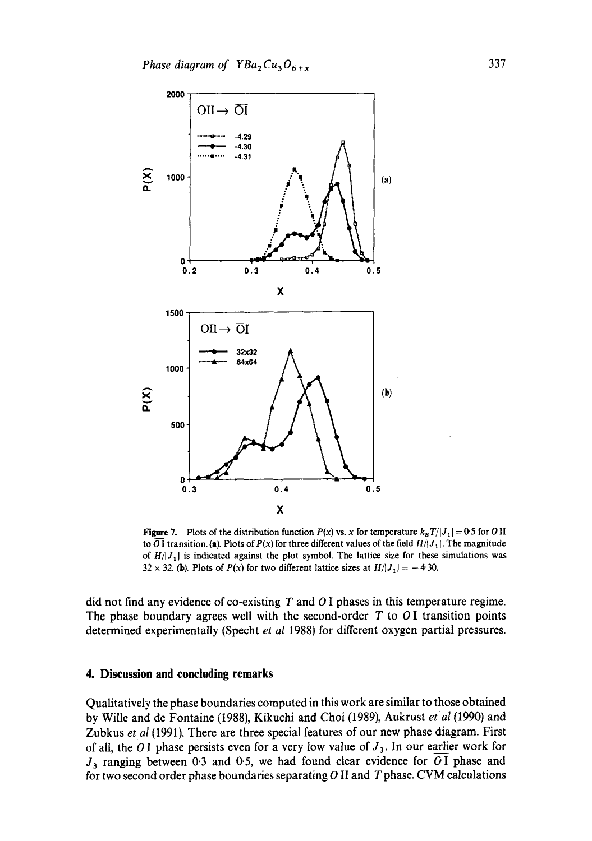

Figure 7. Plots of the distribution function  $P(x)$  vs. x for temperature  $k_B T/|J_1| = 0.5$  for O II to  $\overline{O}$  I transition. (a). Plots of  $P(x)$  for three different values of the field  $H/|J_1|$ . The magnitude of  $H/|J_1|$  is indicated against the plot symbol. The lattice size for these simulations was 32 x 32. (b). Plots of  $P(x)$  for two different lattice sizes at  $H/|J_1| = -4.30$ .

did not find any evidence of co-existing T and O I phases in this temperature regime. The phase boundary agrees well with the second-order  $T$  to  $O$ I transition points determined experimentally (Specht *et al* 1988) for different oxygen partial pressures.

### **4. Discussion and concluding remarks**

Qualitatively the phase boundaries computed in this work are similar to those obtained by Wille and de Fontaine (1988), Kikuchi and Choi (1989), Aukrust *et al* (1990) and Zubkus *et al* (1991). There are three special features of our new phase diagram. First of all, the O I phase persists even for a very low value of  $J_3$ . In our earlier work for  $J_3$  ranging between 0.3 and 0.5, we had found clear evidence for  $\overline{OI}$  phase and for two second order phase boundaries separating O II and T phase. CVM calculations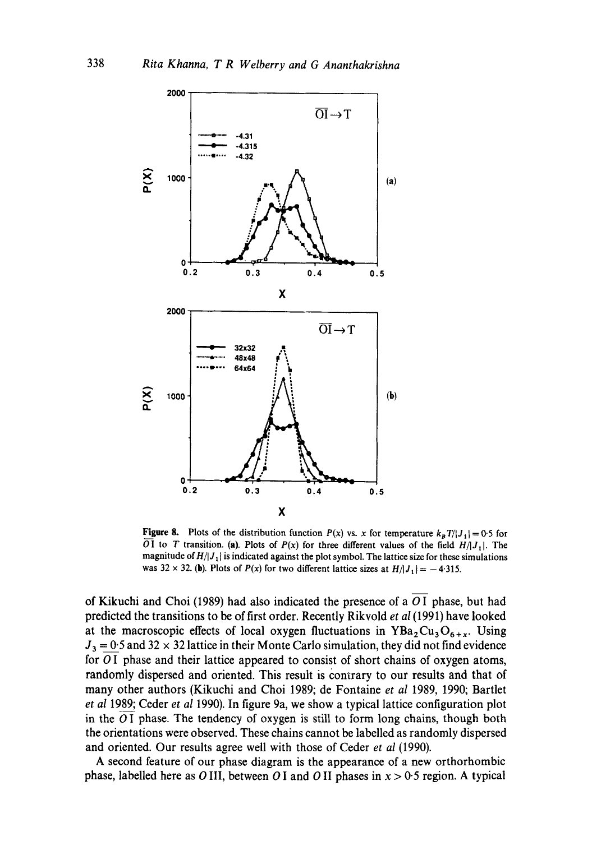

**Figure 8.** Plots of the distribution function  $P(x)$  vs. x for temperature  $k_B T/|J_1| = 0.5$  for OI to T transition. (a). Plots of  $P(x)$  for three different values of the field  $H/|J_1|$ . The magnitude of  $H/I_1$  is indicated against the plot symbol. The lattice size for these simulations was 32 x 32. (b). Plots of  $P(x)$  for two different lattice sizes at  $H/|J_1| = -4.315$ .

of Kikuchi and Choi (1989) had also indicated the presence of a O I phase, but had predicted the transitions to be of first order. Recently Rikvold *et al* (1991) have looked at the macroscopic effects of local oxygen fluctuations in  $YBa<sub>2</sub>Cu<sub>3</sub>O<sub>6+x</sub>$ . Using  $J_3 = 0.5$  and 32 x 32 lattice in their Monte Carlo simulation, they did not find evidence for 01 phase and their lattice appeared to consist of short chains of oxygen atoms, randomly dispersed and oriented. This result is contrary to our results and that of many other authors (Kikuchi and Choi 1989; de Fontaine *et al* 1989, 1990; Bartlet *et al* 1989; Ceder *et al* 1990). In figure 9a, we show a typical lattice configuration plot in the  $O<sub>I</sub>$  phase. The tendency of oxygen is still to form long chains, though both the orientations were observed. These chains cannot be labelled as randomly dispersed and oriented. Our results agree well with those of Ceder *et al* (1990).

A second feature of our phase diagram is the appearance of a new orthorhombic phase, labelled here as O III, between O I and O II phases in  $x > 0.5$  region. A typical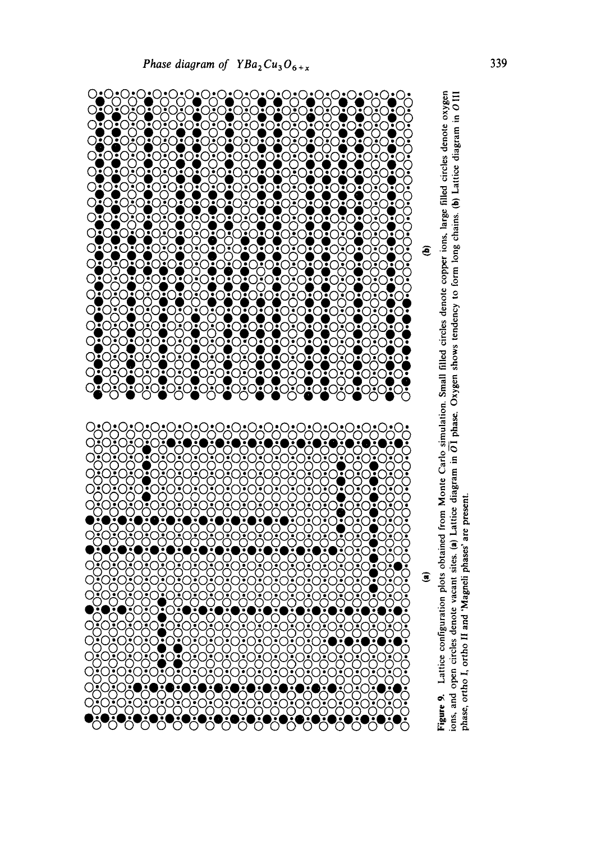

 $\sum_{i=1}^{N}$ 

 $\mathcal{C}$ 



**(a) (b)**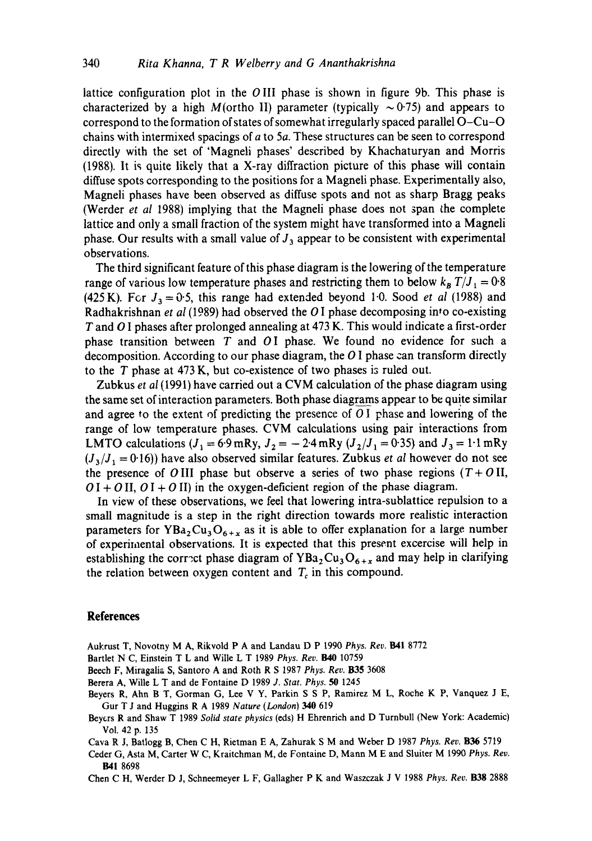lattice configuration plot in the OIII phase is shown in figure 9b. This phase is characterized by a high M(ortho II) parameter (typically  $\sim$  0.75) and appears to correspond to the formation of states of somewhat irregularly spaced parallel O-Cu-O chains with intermixed spacings of a to 5a. These structures can be seen to correspond directly with the set of 'Magneli phases' described by Khachaturyan and Morris (1988). It is quite likely that a X-ray diffraction picture of this phase will contain diffuse spots corresponding to the positions for a Magneli phase. Experimentally also, Magneli phases have been observed as diffuse spots and not as sharp Bragg peaks (Werder *et al* 1988) implying that the Magneli phase does not 3pan the complete lattice and only a small fraction of the system might have transformed into a Magneli phase. Our results with a small value of  $J_3$  appear to be consistent with experimental observations.

The third significant feature of this phase diagram is the lowering of the temperature range of various low temperature phases and restricting them to below  $k_B T/J_1 = 0.8$ (425 K). For  $J_3 = 0.5$ , this range had extended beyond 1.0. Sood *et al* (1988) and Radhakrishnan *et al* (1989) had observed the O I phase decomposing into co-existing T and O I phases after prolonged annealing at 473 K. This would indicate a first-order phase transition between  $T$  and  $O I$  phase. We found no evidence for such a decomposition. According to our phase diagram, the  $O<sub>I</sub>$  phase can transform directly to the T phase at 473 K, but co-existence of two phases iz ruled out.

Zubkus *et al* (1991) have carried out a CVM calculation of the phase diagram using the same set of interaction parameters. Both phase diagrams appear to be quite similar and agree to the extent of predicting the presence of  $O<sub>I</sub>$  phase and lowering of the range of low temperature phases. CVM calculations using pair interactions from LMTO calculations  $(J_1 = 6.9 \text{ mRy}, J_2 = -2.4 \text{ mRy} (J_2/J_1 = 0.35)$  and  $J_3 = 1.1 \text{ mRy}$  $(J_3/J_1 = 0.16)$ ) have also observed similar features. Zubkus *et al* however do not see the presence of OIII phase but observe a series of two phase regions  $(T+O)$ II,  $O I + O II$ ,  $O I + O II$ ) in the oxygen-deficient region of the phase diagram.

In view of these observations, we feel that lowering intra-sublattice repulsion to a small magnitude is a step in the right direction towards more realistic interaction parameters for  $YBa<sub>2</sub>Cu<sub>3</sub>O<sub>6+x</sub>$  as it is able to offer explanation for a large number of experimental observations. It is expected that this present excercise will help in establishing the correct phase diagram of  $YBa<sub>2</sub>Cu<sub>3</sub>O<sub>6+x</sub>$  and may help in clarifying the relation between oxygen content and  $T_c$  in this compound.

### **References**

Aukrust T, Novotny M A, Rikvold P A and Landau D P 1990 Phys. Rev. B41 8772

- Bartlet N C, Einstein T L and Wille L T 1989 Phys. Rev. B40 10759
- Beech F, Miragalia S, Santoro A and Roth R S 1987 *Phys. Rev.* B35 3608
- Berera A, WiUe L T and de Fontaine D 1989 *J. Star. Phys. 50* 1245
- Beyers R, Ahn B T, Gorman G, Lee V Y, Parkin S S P, Ramirez M L, Roche K P, Vanquez J E, Gut T J and Huggins R A 1989 *Nature (London) 340* 619
- Beyers R and Shaw T 1989 *Solid state physics* (eds) H Ehrenrich and D Turnbull (New York: Academic) Vol. 42 p. 135

Cava R J, Batlogg B, Chen C H, Rietman E A, Zahurak S M and Weber D 1987 *Phys. Rev.* B36 5719

Ceder G, Asta M, Carter W C, Kraitchman M, de Fontaine D, Mann M E and Sluiter M 1990 *Phys. Rev.*  B41 8698

Chen C H, Werder D J, Schneemeyer L F, Gallagher P K and Waszczak J V 1988 Phys. Rev. **B38** 2888